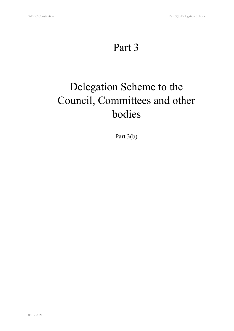# Part 3

# Delegation Scheme to the Council, Committees and other bodies

Part 3(b)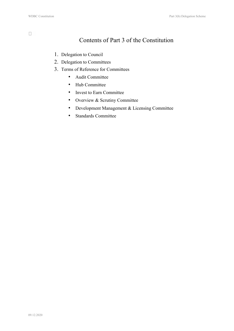# Contents of Part 3 of the Constitution

- 1. Delegation to Council
- 2. Delegation to Committees
- 3. Terms of Reference for Committees
	- Audit Committee
	- Hub Committee
	- Invest to Earn Committee
	- Overview & Scrutiny Committee
	- Development Management & Licensing Committee
	- Standards Committee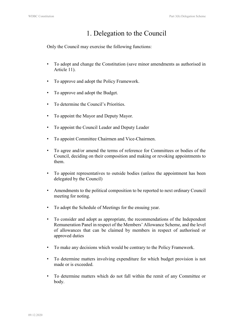# 1. Delegation to the Council

Only the Council may exercise the following functions:

- To adopt and change the Constitution (save minor amendments as authorised in Article 11).
- To approve and adopt the Policy Framework.
- To approve and adopt the Budget.
- To determine the Council's Priorities.
- To appoint the Mayor and Deputy Mayor.
- To appoint the Council Leader and Deputy Leader
- To appoint Committee Chairmen and Vice-Chairmen.
- To agree and/or amend the terms of reference for Committees or bodies of the Council, deciding on their composition and making or revoking appointments to them.
- To appoint representatives to outside bodies (unless the appointment has been delegated by the Council)
- Amendments to the political composition to be reported to next ordinary Council meeting for noting.
- To adopt the Schedule of Meetings for the ensuing year.
- To consider and adopt as appropriate, the recommendations of the Independent Remuneration Panel in respect of the Members' Allowance Scheme, and the level of allowances that can be claimed by members in respect of authorised or approved duties
- To make any decisions which would be contrary to the Policy Framework.
- To determine matters involving expenditure for which budget provision is not made or is exceeded.
- To determine matters which do not fall within the remit of any Committee or body.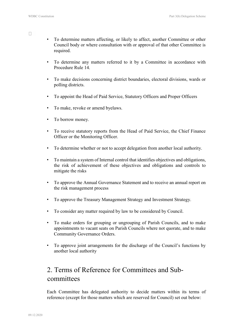- To determine matters affecting, or likely to affect, another Committee or other Council body or where consultation with or approval of that other Committee is required.
- To determine any matters referred to it by a Committee in accordance with Procedure Rule 14.
- To make decisions concerning district boundaries, electoral divisions, wards or polling districts.
- To appoint the Head of Paid Service, Statutory Officers and Proper Officers
- To make, revoke or amend byelaws.
- To borrow money.
- To receive statutory reports from the Head of Paid Service, the Chief Finance Officer or the Monitoring Officer.
- To determine whether or not to accept delegation from another local authority.
- To maintain a system of Internal control that identifies objectives and obligations, the risk of achievement of these objectives and obligations and controls to mitigate the risks
- To approve the Annual Governance Statement and to receive an annual report on the risk management process
- To approve the Treasury Management Strategy and Investment Strategy.
- To consider any matter required by law to be considered by Council.
- To make orders for grouping or ungrouping of Parish Councils, and to make appointments to vacant seats on Parish Councils where not quorate, and to make Community Governance Orders.
- To approve joint arrangements for the discharge of the Council's functions by another local authority

# 2. Terms of Reference for Committees and Subcommittees

Each Committee has delegated authority to decide matters within its terms of reference (except for those matters which are reserved for Council) set out below: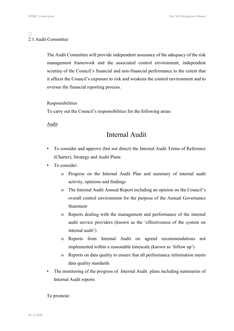### $\Box$ 2.1 Audit Committee

The Audit Committee will provide independent assurance of the adequacy of the risk management framework and the associated control environment, independent scrutiny of the Council's financial and non-financial performance to the extent that it affects the Council's exposure to risk and weakens the control environment and to oversee the financial reporting process.

#### Responsibilities

To carry out the Council's responsibilities for the following areas:

Audit

# Internal Audit

- To consider and approve (but not direct) the Internal Audit Terms of Reference (Charter), Strategy and Audit Plans
- To consider:
	- o Progress on the Internal Audit Plan and summary of internal audit activity, opinions and findings
	- o The Internal Audit Annual Report including an opinion on the Council's overall control environment for the purpose of the Annual Governance Statement
	- o Reports dealing with the management and performance of the internal audit service providers (known as the 'effectiveness of the system on internal audit')
	- o Reports from Internal Audit on agreed recommendations not implemented within a reasonable timescale (known as 'follow up')
	- o Reports on data quality to ensure that all performance information meets data quality standards
- The monitoring of the progress of Internal Audit plans including summaries of Internal Audit reports

To promote: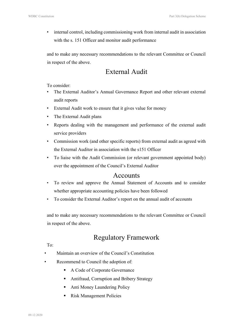internal control, including commissioning work from internal audit in association with the s. 151 Officer and monitor audit performance

and to make any necessary recommendations to the relevant Committee or Council in respect of the above.

# External Audit

To consider:

- The External Auditor's Annual Governance Report and other relevant external audit reports
- External Audit work to ensure that it gives value for money
- The External Audit plans
- Reports dealing with the management and performance of the external audit service providers
- Commission work (and other specific reports) from external audit as agreed with the External Auditor in association with the s151 Officer
- To liaise with the Audit Commission (or relevant government appointed body) over the appointment of the Council's External Auditor

### Accounts

- To review and approve the Annual Statement of Accounts and to consider whether appropriate accounting policies have been followed
- To consider the External Auditor's report on the annual audit of accounts

and to make any necessary recommendations to the relevant Committee or Council in respect of the above.

# Regulatory Framework

 $To^{\dagger}$ 

- Maintain an overview of the Council's Constitution
- Recommend to Council the adoption of:
	- A Code of Corporate Governance
	- Antifraud, Corruption and Bribery Strategy
	- Anti Money Laundering Policy
	- **Risk Management Policies**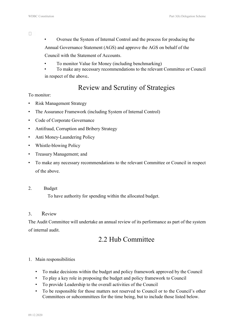$\Box$ 

- Oversee the System of Internal Control and the process for producing the
- Annual Governance Statement (AGS) and approve the AGS on behalf of the

Council with the Statement of Accounts.

- To monitor Value for Money (including benchmarking)
- To make any necessary recommendations to the relevant Committee or Council in respect of the above.

# Review and Scrutiny of Strategies

### To monitor:

- Risk Management Strategy
- The Assurance Framework (including System of Internal Control)
- Code of Corporate Governance
- Antifraud, Corruption and Bribery Strategy
- Anti Money-Laundering Policy
- Whistle-blowing Policy
- Treasury Management; and
- To make any necessary recommendations to the relevant Committee or Council in respect of the above.
- 2. Budget

To have authority for spending within the allocated budget.

### 3. Review

The Audit Committee will undertake an annual review of its performance as part of the system of internal audit.

# 2.2 Hub Committee

### 1. Main responsibilities

- To make decisions within the budget and policy framework approved by the Council
- To play a key role in proposing the budget and policy framework to Council
- To provide Leadership to the overall activities of the Council
- To be responsible for those matters not reserved to Council or to the Council's other Committees or subcommittees for the time being, but to include those listed below.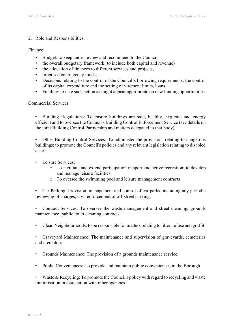#### 2. Role and Responsibilities:

#### Finance:

- Budget: to keep under review and recommend to the Council:
- the overall budgetary framework (to include both capital and revenue)
- the allocation of finances to different services and projects,
- proposed contingency funds,
- Decisions relating to the control of the Council's borrowing requirements, the control of its capital expenditure and the setting of virement limits, loans.
- Funding: to take such action as might appear appropriate on new funding opportunities.

#### Commercial Services

• Building Regulations: To ensure buildings are safe, healthy, hygienic and energy efficient and to oversee the Council's Building Control Enforcement Service (see details on the joint Building Control Partnership and matters delegated to that body).

• Other Building Control Services: To administer the provisions relating to dangerous buildings; to promote the Council's policies and any relevant legislation relating to disabled access.

- Leisure Services:
	- o To facilitate and extend participation in sport and active recreation; to develop and manage leisure facilities.
	- o To oversee the swimming pool and leisure management contracts

• Car Parking: Provision, management and control of car parks, including any periodic reviewing of charges; civil enforcement of off-street parking.

• Contract Services: To oversee the waste management and street cleaning, grounds maintenance, public toilet cleaning contracts.

• Clean Neighbourhoods: to be responsible for matters relating to litter, refuse and graffiti

• Graveyard Maintenance: The maintenance and supervision of graveyards, cemeteries and crematoria.

- Grounds Maintenance: The provision of a grounds maintenance service.
- Public Conveniences: To provide and maintain public conveniences in the Borough

• Waste & Recycling: To promote the Council's policy with regard to recycling and waste minimisation in association with other agencies.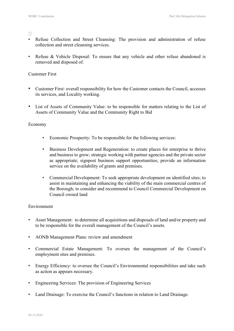$\Box$ 

- Refuse Collection and Street Cleansing: The provision and administration of refuse collection and street cleansing services.
- Refuse & Vehicle Disposal: To ensure that any vehicle and other refuse abandoned is removed and disposed of.

#### Customer First

- Customer First: overall responsibility for how the Customer contacts the Council, accesses its services, and Locality working.
- List of Assets of Community Value: to be responsible for matters relating to the List of Assets of Community Value and the Community Right to Bid

#### Economy

- Economic Prosperity: To be responsible for the following services:
- Business Development and Regeneration: to create places for enterprise to thrive and business to grow; strategic working with partner agencies and the private sector as appropriate; signpost business support opportunities; provide an information service on the availability of grants and premises.
- Commercial Development: To seek appropriate development on identified sites; to assist in maintaining and enhancing the viability of the main commercial centres of the Borough; to consider and recommend to Council Commercial Development on Council owned land

### Environment

- Asset Management: to determine all acquisitions and disposals of land and/or property and to be responsible for the overall management of the Council's assets.
- AONB Management Plans: review and amendment
- Commercial Estate Management: To oversee the management of the Council's employment sites and premises.
- Energy Efficiency: to oversee the Council's Environmental responsibilities and take such as action as appears necessary.
- Engineering Services: The provision of Engineering Services
- Land Drainage: To exercise the Council's functions in relation to Land Drainage.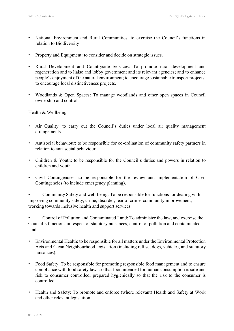- National Environment and Rural Communities: to exercise the Council's functions in relation to Biodiversity
- Property and Equipment: to consider and decide on strategic issues.
- Rural Development and Countryside Services: To promote rural development and regeneration and to liaise and lobby government and its relevant agencies; and to enhance people's enjoyment of the natural environment; to encourage sustainable transport projects; to encourage local distinctiveness projects.
- Woodlands & Open Spaces: To manage woodlands and other open spaces in Council ownership and control.

### Health & Wellbeing

- Air Quality: to carry out the Council's duties under local air quality management arrangements
- Antisocial behaviour: to be responsible for co-ordination of community safety partners in relation to anti-social behaviour
- Children & Youth: to be responsible for the Council's duties and powers in relation to children and youth
- Civil Contingencies: to be responsible for the review and implementation of Civil Contingencies (to include emergency planning).

• Community Safety and well-being: To be responsible for functions for dealing with improving community safety, crime, disorder, fear of crime, community improvement, working towards inclusive health and support services

• Control of Pollution and Contaminated Land: To administer the law, and exercise the Council's functions in respect of statutory nuisances, control of pollution and contaminated land.

- Environmental Health: to be responsible for all matters under the Environmental Protection Acts and Clean Neighbourhood legislation (including refuse, dogs, vehicles, and statutory nuisances).
- Food Safety: To be responsible for promoting responsible food management and to ensure compliance with food safety laws so that food intended for human consumption is safe and risk to consumer controlled, prepared hygienically so that the risk to the consumer is controlled.
- Health and Safety: To promote and enforce (where relevant) Health and Safety at Work and other relevant legislation.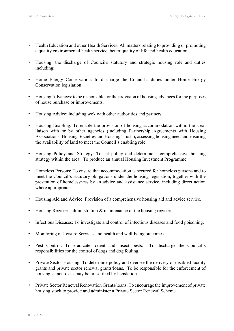$\Box$ 

- Health Education and other Health Services: All matters relating to providing or promoting a quality environmental health service, better quality of life and health education.
- Housing: the discharge of Council's statutory and strategic housing role and duties including:
- Home Energy Conservation: to discharge the Council's duties under Home Energy Conservation legislation
- Housing Advances: to be responsible for the provision of housing advances for the purposes of house purchase or improvements.
- Housing Advice: including wok with other authorities and partners
- Housing Enabling: To enable the provision of housing accommodation within the area; liaison with or by other agencies (including Partnership Agreements with Housing Associations, Housing Societies and Housing Trusts); assessing housing need and ensuring the availability of land to meet the Council's enabling role.
- Housing Policy and Strategy: To set policy and determine a comprehensive housing strategy within the area. To produce an annual Housing Investment Programme.
- Homeless Persons: To ensure that accommodation is secured for homeless persons and to meet the Council's statutory obligations under the housing legislation, together with the prevention of homelessness by an advice and assistance service, including direct action where appropriate.
- Housing Aid and Advice: Provision of a comprehensive housing aid and advice service.
- Housing Register: administration & maintenance of the housing register
- Infectious Diseases: To investigate and control of infectious diseases and food poisoning.
- Monitoring of Leisure Services and health and well-being outcomes
- Pest Control: To eradicate rodent and insect pests. To discharge the Council's responsibilities for the control of dogs and dog fouling.
- Private Sector Housing: To determine policy and oversee the delivery of disabled facility grants and private sector renewal grants/loans. To be responsible for the enforcement of housing standards as may be prescribed by legislation.
- Private Sector Renewal Renovation Grants/loans: To encourage the improvement of private housing stock to provide and administer a Private Sector Renewal Scheme.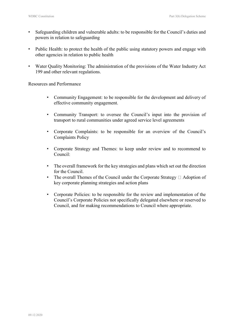- Safeguarding children and vulnerable adults: to be responsible for the Council's duties and powers in relation to safeguarding
- Public Health: to protect the health of the public using statutory powers and engage with other agencies in relation to public health
- Water Quality Monitoring: The administration of the provisions of the Water Industry Act 199 and other relevant regulations.

Resources and Performance

- Community Engagement: to be responsible for the development and delivery of effective community engagement.
- Community Transport: to oversee the Council's input into the provision of transport to rural communities under agreed service level agreements
- Corporate Complaints: to be responsible for an overview of the Council's Complaints Policy
- Corporate Strategy and Themes: to keep under review and to recommend to Council:
- The overall framework for the key strategies and plans which set out the direction for the Council.
- The overall Themes of the Council under the Corporate Strategy  $\Box$  Adoption of key corporate planning strategies and action plans
- Corporate Policies: to be responsible for the review and implementation of the Council's Corporate Policies not specifically delegated elsewhere or reserved to Council, and for making recommendations to Council where appropriate.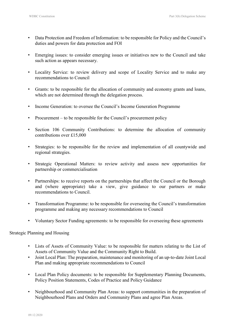- Data Protection and Freedom of Information: to be responsible for Policy and the Council's duties and powers for data protection and FOI
- Emerging issues: to consider emerging issues or initiatives new to the Council and take such action as appears necessary.
- Locality Service: to review delivery and scope of Locality Service and to make any recommendations to Council
- Grants: to be responsible for the allocation of community and economy grants and loans, which are not determined through the delegation process.
- Income Generation: to oversee the Council's Income Generation Programme
- Procurement to be responsible for the Council's procurement policy
- Section 106 Community Contributions: to determine the allocation of community contributions over £15,000
- Strategies: to be responsible for the review and implementation of all countywide and regional strategies.
- Strategic Operational Matters: to review activity and assess new opportunities for partnership or commercialisation
- Partnerships: to receive reports on the partnerships that affect the Council or the Borough and (where appropriate) take a view, give guidance to our partners or make recommendations to Council.
- Transformation Programme: to be responsible for overseeing the Council's transformation programme and making any necessary recommendations to Council
- Voluntary Sector Funding agreements: to be responsible for overseeing these agreements

### Strategic Planning and Housing

- Lists of Assets of Community Value: to be responsible for matters relating to the List of Assets of Community Value and the Community Right to Build.
- Joint Local Plan: The preparation, maintenance and monitoring of an up-to-date Joint Local Plan and making appropriate recommendations to Council
- Local Plan Policy documents: to be responsible for Supplementary Planning Documents, Policy Position Statements, Codes of Practice and Policy Guidance
- Neighbourhood and Community Plan Areas: to support communities in the preparation of Neighbourhood Plans and Orders and Community Plans and agree Plan Areas.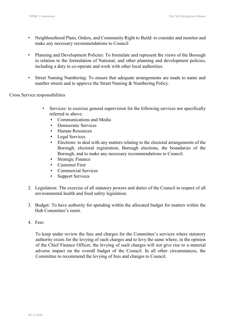- Neighbourhood Plans, Orders, and Community Right to Build: to consider and monitor and make any necessary recommendations to Council
- Planning and Development Policies: To formulate and represent the views of the Borough in relation to the formulation of National, and other planning and development policies, including a duty to co-operate and work with other local authorities.
- Street Naming Numbering: To ensure that adequate arrangements are made to name and number streets and to approve the Street Naming & Numbering Policy.

Cross Service responsibilities

- Services: to exercise general supervision for the following services not specifically referred to above:
	- Communications and Media
	- Democratic Services
	- Human Resources
	- **•** Legal Services
	- Elections: to deal with any matters relating to the electoral arrangements of the Borough, electoral registration, Borough elections, the boundaries of the Borough, and to make any necessary recommendations to Council.
	- **Strategic Finance**
	- Customer First
	- Commercial Services
	- **Support Services**
- 2. Legislation: The exercise of all statutory powers and duties of the Council in respect of all environmental health and food safety legislation.
- 3. Budget: To have authority for spending within the allocated budget for matters within the Hub Committee's remit.
- 4. Fees

To keep under review the fees and charges for the Committee's services where statutory authority exists for the levying of such charges and to levy the same where, in the opinion of the Chief Finance Officer, the levying of such charges will not give rise to a material adverse impact on the overall budget of the Council. In all other circumstances, the Committee to recommend the levying of fees and charges to Council.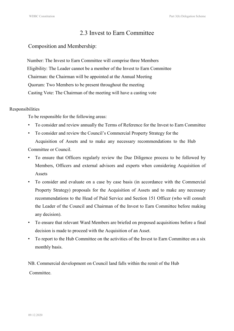## 2.3 Invest to Earn Committee

### Composition and Membership:

 Number: The Invest to Earn Committee will comprise three Members Eligibility: The Leader cannot be a member of the Invest to Earn Committee Chairman: the Chairman will be appointed at the Annual Meeting Quorum: Two Members to be present throughout the meeting Casting Vote: The Chairman of the meeting will have a casting vote

#### Responsibilities

To be responsible for the following areas:

- To consider and review annually the Terms of Reference for the Invest to Earn Committee
- To consider and review the Council's Commercial Property Strategy for the Acquisition of Assets and to make any necessary recommendations to the Hub Committee or Council.
- To ensure that Officers regularly review the Due Diligence process to be followed by Members, Officers and external advisors and experts when considering Acquisition of Assets
- To consider and evaluate on a case by case basis (in accordance with the Commercial Property Strategy) proposals for the Acquisition of Assets and to make any necessary recommendations to the Head of Paid Service and Section 151 Officer (who will consult the Leader of the Council and Chairman of the Invest to Earn Committee before making any decision).
- To ensure that relevant Ward Members are briefed on proposed acquisitions before a final decision is made to proceed with the Acquisition of an Asset.
- To report to the Hub Committee on the activities of the Invest to Earn Committee on a six monthly basis.

NB. Commercial development on Council land falls within the remit of the Hub

Committee.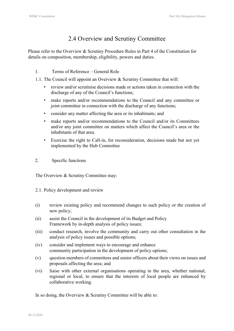# 2.4 Overview and Scrutiny Committee

Please refer to the Overview & Scrutiny Procedure Rules in Part 4 of the Constitution for details on composition, membership, eligibility, powers and duties.

### 1. Terms of Reference – General Role

1.1. The Council will appoint an Overview & Scrutiny Committee that will:

- review and/or scrutinise decisions made or actions taken in connection with the discharge of any of the Council's functions;
- make reports and/or recommendations to the Council and any committee or joint committee in connection with the discharge of any functions;
- consider any matter affecting the area or its inhabitants; and
- make reports and/or recommendations to the Council and/or its Committees and/or any joint committee on matters which affect the Council's area or the inhabitants of that area.
- Exercise the right to Call-in, for reconsideration, decisions made but not yet implemented by the Hub Committee
- 2. Specific functions

The Overview & Scrutiny Committee may:

- 2.1. Policy development and review
- (i) review existing policy and recommend changes to such policy or the creation of new policy;
- (ii) assist the Council in the development of its Budget and Policy Framework by in-depth analysis of policy issues;
- (iii) conduct research, involve the community and carry out other consultation in the analysis of policy issues and possible options;
- (iv) consider and implement ways to encourage and enhance community participation in the development of policy options;
- (v) question members of committees and senior officers about their views on issues and proposals affecting the area; and
- (vi) liaise with other external organisations operating in the area, whether national, regional or local, to ensure that the interests of local people are enhanced by collaborative working.

In so doing, the Overview & Scrutiny Committee will be able to: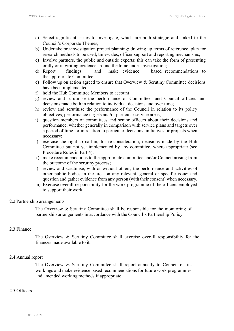- a) Select significant issues to investigate, which are both strategic and linked to the Council's Corporate Themes;
- b) Undertake pre-investigation project planning: drawing up terms of reference, plan for research methods to be used, timescales, officer support and reporting mechanisms;
- c) Involve partners, the public and outside experts: this can take the form of presenting orally or in writing evidence around the topic under investigation;
- d) Report findings and make evidence based recommendations to the appropriate Committee;
- e) Follow up on action agreed to ensure that Overview & Scrutiny Committee decisions have been implemented.
- f) hold the Hub Committee Members to account
- g) review and scrutinise the performance of Committees and Council officers and decisions made both in relation to individual decisions and over time;
- h) review and scrutinise the performance of the Council in relation to its policy objectives, performance targets and/or particular service areas;
- i) question members of committees and senior officers about their decisions and performance, whether generally in comparison with service plans and targets over a period of time, or in relation to particular decisions, initiatives or projects when necessary;
- j) exercise the right to call-in, for re-consideration, decisions made by the Hub Committee but not yet implemented by any committee, where appropriate (see Procedure Rules in Part 4);
- k) make recommendations to the appropriate committee and/or Council arising from the outcome of the scrutiny process;
- l) review and scrutinise, with or without others, the performance and activities of other public bodies in the area on any relevant, general or specific issue; and question and gather evidence from any person (with their consent) when necessary.
- m) Exercise overall responsibility for the work programme of the officers employed to support their work

### 2.2 Partnership arrangements

The Overview & Scrutiny Committee shall be responsible for the monitoring of partnership arrangements in accordance with the Council's Partnership Policy.

### 2.3 Finance

The Overview & Scrutiny Committee shall exercise overall responsibility for the finances made available to it.

### 2.4 Annual report

The Overview & Scrutiny Committee shall report annually to Council on its workings and make evidence based recommendations for future work programmes and amended working methods if appropriate.

### 2.5 Officers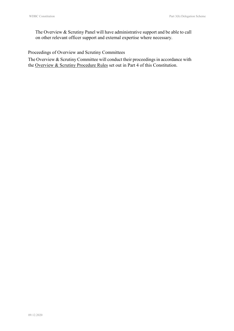The Overview & Scrutiny Panel will have administrative support and be able to call on other relevant officer support and external expertise where necessary.

Proceedings of Overview and Scrutiny Committees

The Overview & Scrutiny Committee will conduct their proceedings in accordance with the Overview & Scrutiny Procedure Rules set out in Part 4 of this Constitution.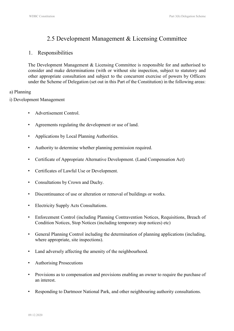## 2.5 Development Management & Licensing Committee

### 1. Responsibilities

The Development Management & Licensing Committee is responsible for and authorised to consider and make determinations (with or without site inspection, subject to statutory and other appropriate consultation and subject to the concurrent exercise of powers by Officers under the Scheme of Delegation (set out in this Part of the Constitution) in the following areas:

### a) Planning

i) Development Management

- Advertisement Control.
- Agreements regulating the development or use of land.
- Applications by Local Planning Authorities.
- Authority to determine whether planning permission required.
- Certificate of Appropriate Alternative Development. (Land Compensation Act)
- Certificates of Lawful Use or Development.
- Consultations by Crown and Duchy.
- Discontinuance of use or alteration or removal of buildings or works.
- Electricity Supply Acts Consultations.
- Enforcement Control (including Planning Contravention Notices, Requisitions, Breach of Condition Notices, Stop Notices (including temporary stop notices) etc)
- General Planning Control including the determination of planning applications (including, where appropriate, site inspections).
- Land adversely affecting the amenity of the neighbourhood.
- Authorising Prosecutions
- Provisions as to compensation and provisions enabling an owner to require the purchase of an interest.
- Responding to Dartmoor National Park, and other neighbouring authority consultations.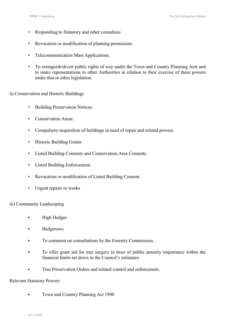- Responding to Statutory and other consultees
- Revocation or modification of planning permission.
- Telecommunication Mast Applications.
- To extinguish/divert public rights of way under the Town and Country Planning Acts and to make representations to other Authorities in relation to their exercise of these powers under that or other legislation.
- ii) Conservation and Historic Buildings
	- Building Preservation Notices.
	- Conservation Areas:
	- Compulsory acquisition of buildings in need of repair and related powers.
	- Historic Building Grants
	- Listed Building Consents and Conservation Area Consents.
	- Listed Building Enforcement.
	- Revocation or modification of Listed Building Consent.
	- Urgent repairs or works
- iii) Community Landscaping
	- High Hedges
	- Hedgerows
	- **•** To comment on consultations by the Forestry Commission.
	- To offer grant aid for tree surgery to trees of public amenity importance within the financial limits set down in the Council's estimates.
	- Tree Preservation Orders and related control and enforcement.

#### Relevant Statutory Powers

• Town and Country Planning Act 1990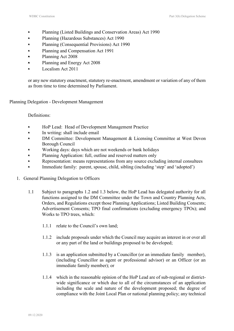- Planning (Listed Buildings and Conservation Areas) Act 1990
- Planning (Hazardous Substances) Act 1990
- Planning (Consequential Provisions) Act 1990
- Planning and Compensation Act 1991
- Planning Act 2008
- Planning and Energy Act 2008
- Localism Act 2011

or any new statutory enactment, statutory re-enactment, amendment or variation of any of them as from time to time determined by Parliament.

Planning Delegation - Development Management

Definitions:

- HoP Lead: Head of Development Management Practice
- In writing: shall include email
- DM Committee: Development Management & Licensing Committee at West Devon Borough Council
- Working days: days which are not weekends or bank holidays
- Planning Application: full, outline and reserved matters only
- **•** Representation: means representations from any source excluding internal consultees
- Immediate family: parent, spouse, child, sibling (including 'step' and 'adopted')
- 1. General Planning Delegation to Officers
	- 1.1 Subject to paragraphs 1.2 and 1.3 below, the HoP Lead has delegated authority for all functions assigned to the DM Committee under the Town and Country Planning Acts, Orders, and Regulations except those Planning Applications; Listed Building Consents; Advertisement Consents; TPO final confirmations (excluding emergency TPOs); and Works to TPO trees, which:
		- 1.1.1 relate to the Council's own land;
		- 1.1.2 include proposals under which the Council may acquire an interest in or over all or any part of the land or buildings proposed to be developed;
		- 1.1.3 is an application submitted by a Councillor (or an immediate family member), (including Councillor as agent or professional advisor) or an Officer (or an immediate family member); or
		- 1.1.4 which in the reasonable opinion of the HoP Lead are of sub-regional or districtwide significance or which due to all of the circumstances of an application including the scale and nature of the development proposed; the degree of compliance with the Joint Local Plan or national planning policy; any technical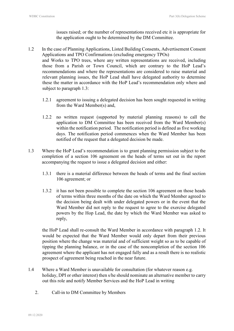issues raised; or the number of representations received etc it is appropriate for the application ought to be determined by the DM Committee.

- 1.2 In the case of Planning Applications, Listed Building Consents, Advertisement Consent Applications and TPO Confirmations (excluding emergency TPOs) and Works to TPO trees, where any written representations are received, including those from a Parish or Town Council, which are contrary to the HoP Lead's recommendations and where the representations are considered to raise material and relevant planning issues, the HoP Lead shall have delegated authority to determine these the matter in accordance with the HoP Lead's recommendation only where and subject to paragraph 1.3:
	- 1.2.1 agreement to issuing a delegated decision has been sought requested in writing from the Ward Member(s) and,
	- 1.2.2 no written request (supported by material planning reasons) to call the application to DM Committee has been received from the Ward Member(s) within the notification period. The notification period is defined as five working days. The notification period commences when the Ward Member has been notified of the request that a delegated decision be made.
- 1.3 Where the HoP Lead's recommendation is to grant planning permission subject to the completion of a section 106 agreement on the heads of terms set out in the report accompanying the request to issue a delegated decision and either:
	- 1.3.1 there is a material difference between the heads of terms and the final section 106 agreement; or
	- 1.3.2 it has not been possible to complete the section 106 agreement on those heads of terms within three months of the date on which the Ward Member agreed to the decision being dealt with under delegated powers or in the event that the Ward Member did not reply to the request to agree to the exercise delegated powers by the Hop Lead, the date by which the Ward Member was asked to reply,

the HoP Lead shall re-consult the Ward Member in accordance with paragraph 1.2. It would be expected that the Ward Member would only depart from their previous position where the change was material and of sufficient weight so as to be capable of tipping the planning balance, or in the case of the noncompletion of the section 106 agreement where the applicant has not engaged fully and as a result there is no realistic prospect of agreement being reached in the near future.

- 1.4 Where a Ward Member is unavailable for consultation (for whatever reason e.g. holiday, DPI or other interest) then s/he should nominate an alternative member to carry out this role and notify Member Services and the HoP Lead in writing
	- 2. Call-in to DM Committee by Members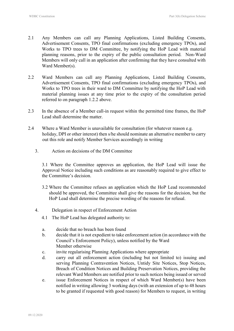- 2.1 Any Members can call any Planning Applications, Listed Building Consents, Advertisement Consents, TPO final confirmations (excluding emergency TPOs), and Works to TPO trees to DM Committee, by notifying the HoP Lead with material planning reasons, prior to the expiry of the public consultation period. Non-Ward Members will only call in an application after confirming that they have consulted with Ward Member(s).
- 2.2 Ward Members can call any Planning Applications, Listed Building Consents, Advertisement Consents, TPO final confirmations (excluding emergency TPOs), and Works to TPO trees in their ward to DM Committee by notifying the HoP Lead with material planning issues at any time prior to the expiry of the consultation period referred to on paragraph 1.2.2 above.
- 2.3 In the absence of a Member call-in request within the permitted time frames, the HoP Lead shall determine the matter.
- 2.4 Where a Ward Member is unavailable for consultation (for whatever reason e.g. holiday, DPI or other interest) then s/he should nominate an alternative member to carry out this role and notify Member Services accordingly in writing
	- 3. Action on decisions of the DM Committee

3.1 Where the Committee approves an application, the HoP Lead will issue the Approval Notice including such conditions as are reasonably required to give effect to the Committee's decision.

- 3.2 Where the Committee refuses an application which the HoP Lead recommended should be approved, the Committee shall give the reasons for the decision, but the HoP Lead shall determine the precise wording of the reasons for refusal.
- 4. Delegation in respect of Enforcement Action
	- 4.1 The HoP Lead has delegated authority to:
	- a. decide that no breach has been found
	- b. decide that it is not expedient to take enforcement action (in accordance with the Council's Enforcement Policy), unless notified by the Ward Member otherwise
	- c. invite regularising Planning Applications where appropriate
	- d. carry out all enforcement action (including but not limited to) issuing and serving Planning Contravention Notices, Untidy Site Notices, Stop Notices, Breach of Condition Notices and Building Preservation Notices, providing the relevant Ward Members are notified prior to such notices being issued or served
	- e. issue Enforcement Notices in respect of which Ward Member(s) have been notified in writing allowing 3 working days (with an extension of up to 48 hours to be granted if requested with good reason) for Members to request, in writing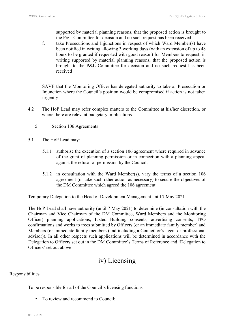supported by material planning reasons, that the proposed action is brought to the P&L Committee for decision and no such request has been received

f. take Prosecutions and Injunctions in respect of which Ward Member(s) have been notified in writing allowing 3 working days (with an extension of up to 48 hours to be granted if requested with good reason) for Members to request, in writing supported by material planning reasons, that the proposed action is brought to the P&L Committee for decision and no such request has been received

SAVE that the Monitoring Officer has delegated authority to take a Prosecution or Injunction where the Council's position would be compromised if action is not taken urgently

- 4.2 The HoP Lead may refer complex matters to the Committee at his/her discretion, or where there are relevant budgetary implications.
	- 5. Section 106 Agreements
- 5.1 The HoP Lead may:
	- 5.1.1 authorise the execution of a section 106 agreement where required in advance of the grant of planning permission or in connection with a planning appeal against the refusal of permission by the Council.
	- 5.1.2 in consultation with the Ward Member(s), vary the terms of a section 106 agreement (or take such other action as necessary) to secure the objectives of the DM Committee which agreed the 106 agreement

Temporary Delegation to the Head of Development Management until 7 May 2021

The HoP Lead shall have authority (until 7 May 2021) to determine (in consultation with the Chairman and Vice Chairman of the DM Committee, Ward Members and the Monitoring Officer) planning applications, Listed Building consents, advertising consents, TPO confirmations and works to trees submitted by Officers (or an immediate family member) and Members (or immediate family members (and including a Councillor's agent or professional advisor)). In all other respects such applications will be determined in accordance with the Delegation to Officers set out in the DM Committee's Terms of Reference and 'Delegation to Officers' set out above

# iv) Licensing

### Responsibilities

To be responsible for all of the Council's licensing functions

• To review and recommend to Council: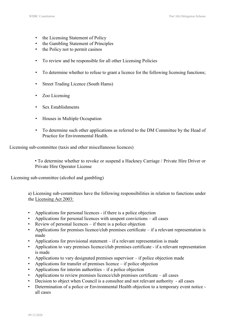- the Licensing Statement of Policy
- the Gambling Statement of Principles
- the Policy not to permit casinos
- To review and be responsible for all other Licensing Policies
- To determine whether to refuse to grant a licence for the following licensing functions;
- Street Trading Licence (South Hams)
- Zoo Licensing
- Sex Establishments
- Houses in Multiple Occupation
- To determine such other applications as referred to the DM Committee by the Head of Practice for Environmental Health.

Licensing sub-committee (taxis and other miscellaneous licences)

• To determine whether to revoke or suspend a Hackney Carriage / Private Hire Driver or Private Hire Operator License

Licensing sub-committee (alcohol and gambling)

a) Licensing sub-committees have the following responsibilities in relation to functions under the Licensing Act 2003:

- Applications for personal licences if there is a police objection
- Applications for personal licences with unspent convictions all cases
- Review of personal licences if there is a police objection
- Applications for premises licence/club premises certificate if a relevant representation is made
- Applications for provisional statement if a relevant representation is made
- Application to vary premises licence/club premises certificate if a relevant representation is made
- Applications to vary designated premises supervisor if police objection made
- Applications for transfer of premises licence if police objection
- Applications for interim authorities  $-$  if a police objection
- Applications to review premises licence/club premises certificate all cases
- Decision to object when Council is a consultee and not relevant authority all cases
- Determination of a police or Environmental Health objection to a temporary event notice all cases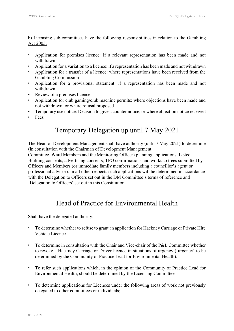b) Licensing sub-committees have the following responsibilities in relation to the Gambling Act 2005:

- Application for premises licence: if a relevant representation has been made and not withdrawn
- Application for a variation to a licence: if a representation has been made and not withdrawn
- Application for a transfer of a licence: where representations have been received from the Gambling Commission
- Application for a provisional statement: if a representation has been made and not withdrawn
- Review of a premises licence
- Application for club gaming/club machine permits: where objections have been made and not withdrawn, or where refusal proposed
- Temporary use notice: Decision to give a counter notice, or where objection notice received
- Fees

# Temporary Delegation up until 7 May 2021

The Head of Development Management shall have authority (until 7 May 2021) to determine (in consultation with the Chairman of Development Management

Committee, Ward Members and the Monitoring Officer) planning applications, Listed Building consents, advertising consents, TPO confirmations and works to trees submitted by Officers and Members (or immediate family members including a councillor's agent or professional advisor). In all other respects such applications will be determined in accordance with the Delegation to Officers set out in the DM Committee's terms of reference and 'Delegation to Officers' set out in this Constitution.

# Head of Practice for Environmental Health

Shall have the delegated authority:

- To determine whether to refuse to grant an application for Hackney Carriage or Private Hire Vehicle Licence.
- To determine in consultation with the Chair and Vice-chair of the P&L Committee whether to revoke a Hackney Carriage or Driver licence in situations of urgency ('urgency' to be determined by the Community of Practice Lead for Environmental Health).
- To refer such applications which, in the opinion of the Community of Practice Lead for Environmental Health, should be determined by the Licensing Committee.
- To determine applications for Licences under the following areas of work not previously delegated to other committees or individuals;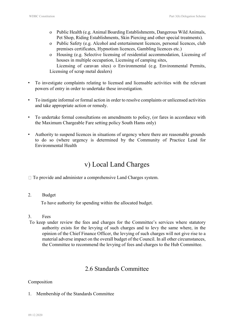- o Public Health (e.g. Animal Boarding Establishments, Dangerous Wild Animals, Pet Shop, Riding Establishments, Skin Piercing and other special treatments).
- o Public Safety (e.g. Alcohol and entertainment licences, personal licences, club premises certificates, Hypnotism licences, Gambling licences etc.)
- o Housing (e.g. Selective licensing of residential accommodation, Licensing of houses in multiple occupation, Licensing of camping sites,

Licensing of caravan sites) o Environmental (e.g. Environmental Permits, Licensing of scrap metal dealers)

- To investigate complaints relating to licensed and licensable activities with the relevant powers of entry in order to undertake these investigation.
- To instigate informal or formal action in order to resolve complaints or unlicensed activities and take appropriate action or remedy.
- To undertake formal consultations on amendments to policy, (or fares in accordance with the Maximum Chargeable Fare setting policy South Hams only)
- Authority to suspend licences in situations of urgency where there are reasonable grounds to do so (where urgency is determined by the Community of Practice Lead for Environmental Health

# v) Local Land Charges

 $\Box$  To provide and administer a comprehensive Land Charges system.

2. Budget

To have authority for spending within the allocated budget.

- 3. Fees
- To keep under review the fees and charges for the Committee's services where statutory authority exists for the levying of such charges and to levy the same where, in the opinion of the Chief Finance Officer, the levying of such charges will not give rise to a material adverse impact on the overall budget of the Council. In all other circumstances, the Committee to recommend the levying of fees and charges to the Hub Committee.

# 2.6 Standards Committee

### Composition

1. Membership of the Standards Committee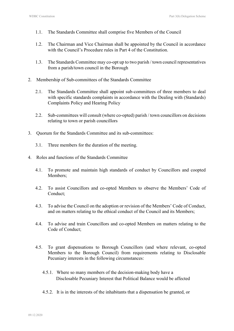- 1.1. The Standards Committee shall comprise five Members of the Council
- 1.2. The Chairman and Vice Chairman shall be appointed by the Council in accordance with the Council's Procedure rules in Part 4 of the Constitution.
- 1.3. The Standards Committee may co-opt up to two parish / town council representatives from a parish/town council in the Borough
- 2. Membership of Sub-committees of the Standards Committee
	- 2.1. The Standards Committee shall appoint sub-committees of three members to deal with specific standards complaints in accordance with the Dealing with (Standards) Complaints Policy and Hearing Policy
	- 2.2. Sub-committees will consult (where co-opted) parish / town councillors on decisions relating to town or parish councillors
- 3. Quorum for the Standards Committee and its sub-committees:
	- 3.1. Three members for the duration of the meeting.
- 4. Roles and functions of the Standards Committee
	- 4.1. To promote and maintain high standards of conduct by Councillors and coopted Members;
	- 4.2. To assist Councillors and co-opted Members to observe the Members' Code of Conduct;
	- 4.3. To advise the Council on the adoption or revision of the Members' Code of Conduct, and on matters relating to the ethical conduct of the Council and its Members;
	- 4.4. To advise and train Councillors and co-opted Members on matters relating to the Code of Conduct;
	- 4.5. To grant dispensations to Borough Councillors (and where relevant, co-opted Members to the Borough Council) from requirements relating to Disclosable Pecuniary interests in the following circumstances:
		- 4.5.1. Where so many members of the decision-making body have a Disclosable Pecuniary Interest that Political Balance would be affected
		- 4.5.2. It is in the interests of the inhabitants that a dispensation be granted, or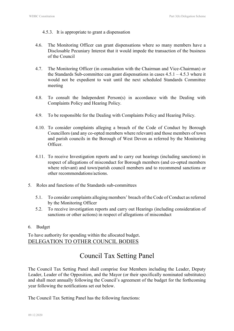- 4.5.3. It is appropriate to grant a dispensation
- 4.6. The Monitoring Officer can grant dispensations where so many members have a Disclosable Pecuniary Interest that it would impede the transaction of the business of the Council
- 4.7. The Monitoring Officer (in consultation with the Chairman and Vice-Chairman) or the Standards Sub-committee can grant dispensations in cases 4.5.1 – 4.5.3 where it would not be expedient to wait until the next scheduled Standards Committee meeting
- 4.8. To consult the Independent Person(s) in accordance with the Dealing with Complaints Policy and Hearing Policy.
- 4.9. To be responsible for the Dealing with Complaints Policy and Hearing Policy.
- 4.10. To consider complaints alleging a breach of the Code of Conduct by Borough Councillors (and any co-opted members where relevant) and those members of town and parish councils in the Borough of West Devon as referred by the Monitoring Officer.
- 4.11. To receive Investigation reports and to carry out hearings (including sanctions) in respect of allegations of misconduct for Borough members (and co-opted members where relevant) and town/parish council members and to recommend sanctions or other recommendations/actions.
- 5. Roles and functions of the Standards sub-committees
	- 5.1. To consider complaints alleging members' breach of the Code of Conduct as referred by the Monitoring Officer
	- 5.2. To receive investigation reports and carry out Hearings (including consideration of sanctions or other actions) in respect of allegations of misconduct
- 6. Budget

To have authority for spending within the allocated budget. DELEGATION TO OTHER COUNCIL BODIES

# Council Tax Setting Panel

The Council Tax Setting Panel shall comprise four Members including the Leader, Deputy Leader, Leader of the Opposition, and the Mayor (or their specifically nominated substitutes) and shall meet annually following the Council's agreement of the budget for the forthcoming year following the notifications set out below.

The Council Tax Setting Panel has the following functions: